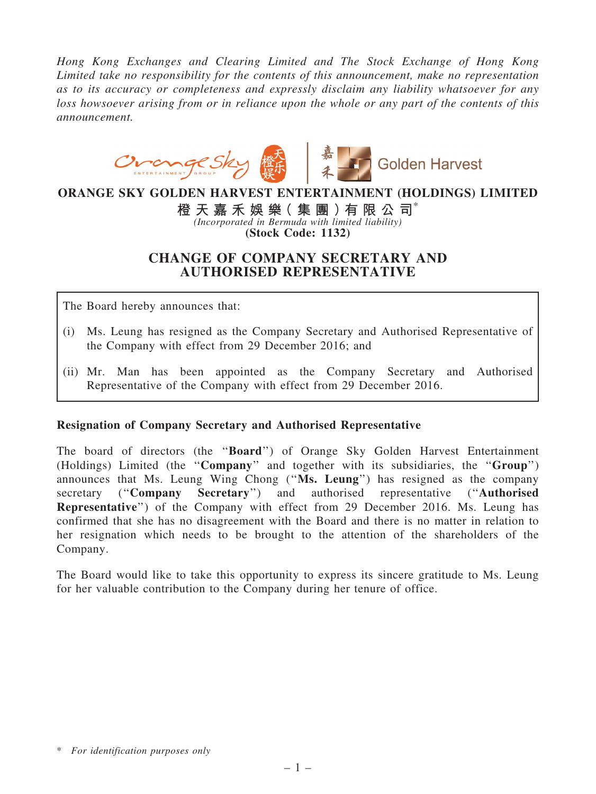Hong Kong Exchanges and Clearing Limited and The Stock Exchange of Hong Kong Limited take no responsibility for the contents of this announcement, make no representation as to its accuracy or completeness and expressly disclaim any liability whatsoever for any loss howsoever arising from or in reliance upon the whole or any part of the contents of this announcement.



### ORANGE SKY GOLDEN HARVEST ENTERTAINMENT (HOLDINGS) LIMITED

橙 天 嘉 禾 娛 樂 (集 團 ) 有 限 公 司 $^*$ (Incorporated in Bermuda with limited liability) (Stock Code: 1132)

## CHANGE OF COMPANY SECRETARY AND AUTHORISED REPRESENTATIVE

The Board hereby announces that:

- (i) Ms. Leung has resigned as the Company Secretary and Authorised Representative of the Company with effect from 29 December 2016; and
- (ii) Mr. Man has been appointed as the Company Secretary and Authorised Representative of the Company with effect from 29 December 2016.

#### Resignation of Company Secretary and Authorised Representative

The board of directors (the ''Board'') of Orange Sky Golden Harvest Entertainment (Holdings) Limited (the ''Company'' and together with its subsidiaries, the ''Group'') announces that Ms. Leung Wing Chong (''Ms. Leung'') has resigned as the company secretary ("Company Secretary") and authorised representative ("Authorised Representative'') of the Company with effect from 29 December 2016. Ms. Leung has confirmed that she has no disagreement with the Board and there is no matter in relation to her resignation which needs to be brought to the attention of the shareholders of the Company.

The Board would like to take this opportunity to express its sincere gratitude to Ms. Leung for her valuable contribution to the Company during her tenure of office.

<sup>\*</sup> For identification purposes only